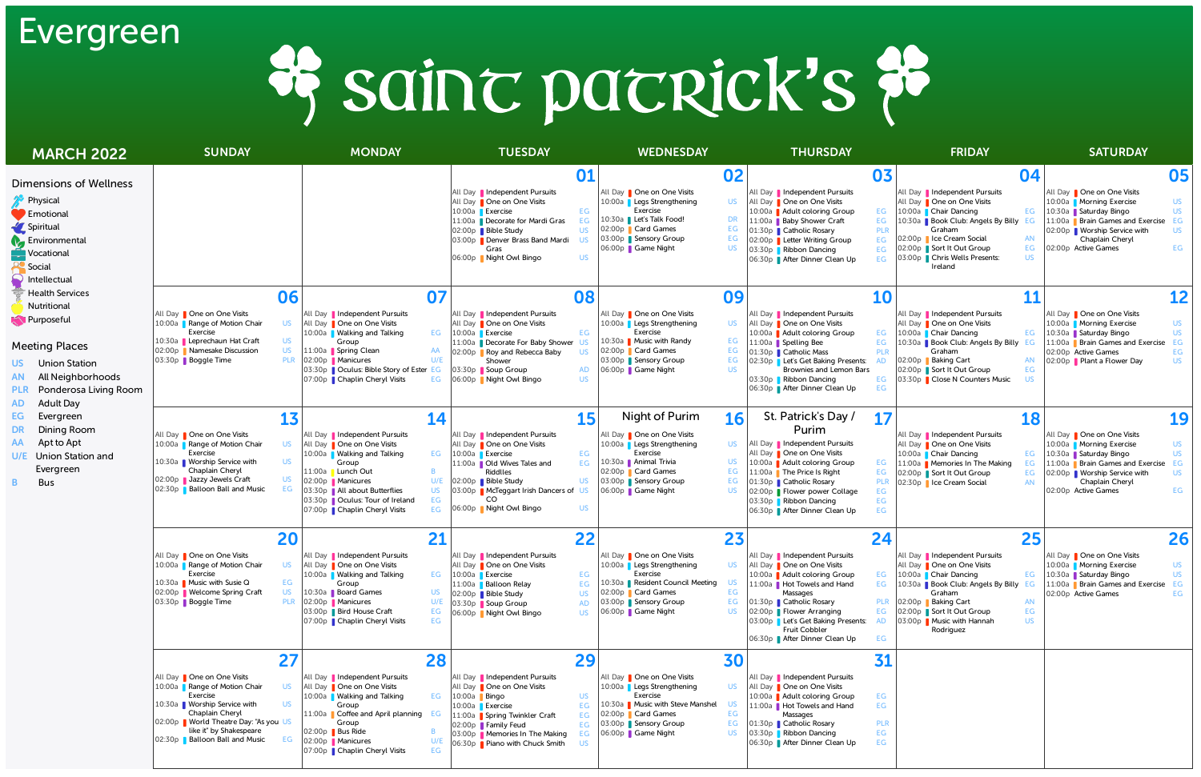| <b>MARCH 2022</b>                                                                                                                                                                                                                                                                                                                                                                                                                                                              | <b>SUNDAY</b>                                                                                                                                                                                                                                                  | <b>MONDAY</b>                                                                                                                                                                                                                                                                                 | <b>TUESDAY</b>                                                                                                                                                                                                                                                                                            | <b>WEDNESDAY</b>                                                                                                                                                                                                                           | <b>THURSDAY</b>                                                                                                                                                                                                                                                                        | <b>FRIDAY</b>                                                                                                                                                                                                                                                                                                                    | <b>SATURDAY</b>                                                                                                                                                                                                                                  |
|--------------------------------------------------------------------------------------------------------------------------------------------------------------------------------------------------------------------------------------------------------------------------------------------------------------------------------------------------------------------------------------------------------------------------------------------------------------------------------|----------------------------------------------------------------------------------------------------------------------------------------------------------------------------------------------------------------------------------------------------------------|-----------------------------------------------------------------------------------------------------------------------------------------------------------------------------------------------------------------------------------------------------------------------------------------------|-----------------------------------------------------------------------------------------------------------------------------------------------------------------------------------------------------------------------------------------------------------------------------------------------------------|--------------------------------------------------------------------------------------------------------------------------------------------------------------------------------------------------------------------------------------------|----------------------------------------------------------------------------------------------------------------------------------------------------------------------------------------------------------------------------------------------------------------------------------------|----------------------------------------------------------------------------------------------------------------------------------------------------------------------------------------------------------------------------------------------------------------------------------------------------------------------------------|--------------------------------------------------------------------------------------------------------------------------------------------------------------------------------------------------------------------------------------------------|
| <b>Dimensions of Wellness</b><br>Physical<br>$\blacksquare$ Emotional<br>Spiritual<br><b>A</b> Environmental<br>Vocational<br>Social<br>Intellectual<br><b>Health Services</b><br>Nutritional<br><b>N</b> Purposeful<br><b>Meeting Places</b><br><b>Union Station</b><br>US.<br>All Neighborhoods<br>PLR Ponderosa Living Room<br><b>Adult Day</b><br>AD<br>EG.<br>Evergreen<br>Dining Room<br>Apt to Apt<br><b>Union Station and</b><br>U/E.<br>Evergreen<br><b>Bus</b><br>B. |                                                                                                                                                                                                                                                                |                                                                                                                                                                                                                                                                                               | 01<br>All Day    Independent Pursuits<br>All Day   One on One Visits<br>EG<br>10:00a <b>Exercise</b><br>11:00a Decorate for Mardi Gras<br>EG<br><b>US</b><br>02:00p Bible Study<br>03:00p <b>Denver Brass Band Mardi</b><br><b>US</b><br>Gras<br><b>US</b><br>06:00p Night Owl Bingo                      | 02<br>All Day   One on One Visits<br>10:00a Legs Strengthening<br><b>US</b><br>Exercise<br>10:30a   Let's Talk Food!<br>DR<br>EG<br>02:00p Card Games<br>03:00p Sensory Group<br>EG<br>06:00p   Game Night<br>US.                          | All Day   Independent Pursuits<br>All Day   One on One Visits<br>10:00a Adult coloring Group<br>11:00a Baby Shower Craft<br>01:30p Catholic Rosary<br>02:00p   Letter Writing Group<br>03:30p Ribbon Dancing<br>06:30p After Dinner Clean Up                                           | 03<br>04<br>All Day    Independent Pursuits<br>All Day   One on One Visits<br>EG 10:00a Chair Dancing<br>EG<br>10:30a Book Club: Angels By Billy EG<br>EG<br><b>PLR</b><br>Graham<br>02:00p   Ice Cream Social<br>AN<br>EG<br>EG<br>02:00p Sort It Out Group<br>EG<br>03:00p Chris Wells Presents:<br><b>US</b><br>EG<br>Ireland | 05<br>All Day   One on One Visits<br>10:00a Morning Exercise<br><b>US</b><br>10:30a Saturday Bingo<br><b>US</b><br>11:00a Brain Games and Exercise<br>EG<br>02:00p   Worship Service with<br>US.<br>Chaplain Cheryl<br>EG<br>02:00p Active Games |
|                                                                                                                                                                                                                                                                                                                                                                                                                                                                                | 06<br>All Day   One on One Visits<br><b>US</b><br>10:00a Range of Motion Chair<br>Exercise<br><b>US</b><br>10:30a   Leprechaun Hat Craft<br>02:00p   Namesake Discussion<br><b>US</b><br>03:30p   Boggle Time<br><b>PLR</b>                                    | 07<br>All Day Independent Pursuits<br>All Day   One on One Visits<br>10:00a Nualking and Talking<br>Group<br>11:00a Spring Clean<br>AA<br>02:00p   Manicures<br>U/E<br>03:30p   Oculus: Bible Story of Ester EG<br>07:00p Chaplin Cheryl Visits<br>EG                                         | 08<br>All Day   Independent Pursuits<br>All Day   One on One Visits<br>EG 10:00a Exercise<br>EG<br>11:00a <b>Decorate For Baby Shower</b><br>US.<br>02:00p <b>Roy and Rebecca Baby</b><br><b>US</b><br>Shower<br>03:30p Soup Group<br>AD<br><b>US</b><br>06:00p Night Owl Bingo                           | 09<br>All Day   One on One Visits<br><b>US</b><br>10:00a Legs Strengthening<br><b>Exercise</b><br>10:30a Music with Randy<br>EG<br>02:00p Card Games<br>EG<br>03:00p Sensory Group<br>EG<br>06:00p Game Night<br><b>US</b>                 | All Day   Independent Pursuits<br>All Day   One on One Visits<br>10:00a Adult coloring Group<br>11:00a Spelling Bee<br>01:30p Catholic Mass<br>02:30p   Let's Get Baking Presents:<br>Brownies and Lemon Bars<br>03:30p Ribbon Dancing<br>06:30p   After Dinner Clean Up               | 10<br>11<br>All Day   Independent Pursuits<br>All Day <b>One on One Visits</b><br>EG 10:00a Chair Dancing<br>EG<br>EG<br>10:30a Book Club: Angels By Billy EG<br>Graham<br><b>PLR</b><br>02:00p Baking Cart<br>AN<br>EG<br>02:00p Sort It Out Group<br>03:30p Close N Counters Music<br>EG<br>US.<br>EG                          | <b>12</b><br>All Day   One on One Visits<br>10:00a Morning Exercise<br><b>US</b><br>10:30a Saturday Bingo<br><b>US</b><br>11:00a P Brain Games and Exercise<br>EG<br>02:00p Active Games<br>EG<br>02:00p Plant a Flower Day<br><b>US</b>         |
|                                                                                                                                                                                                                                                                                                                                                                                                                                                                                | 13<br>All Day   One on One Visits<br>10:00a Range of Motion Chair<br>US<br>Exercise<br>10:30a Worship Service with<br>US.<br>Chaplain Cheryl<br>02:00p Jazzy Jewels Craft<br>US.<br>02:30p Balloon Ball and Music<br>EG                                        | 14<br>All Day    Independent Pursuits<br>All Day <b>One on One Visits</b><br>10:00a Walking and Talking<br>Group<br>11:00a ∎ Lunch Out<br>02:00p   Manicures<br>U/E<br>03:30p    All about Butterflies<br><b>US</b><br>EG<br>03:30p   Oculus: Tour of Ireland<br>07:00p Chaplin Cheryl Visits | <b>15</b><br>All Day   Independent Pursuits<br>All Day   One on One Visits<br>EG   10:00a   Exercise<br>EG<br>EG<br>11:00a <b>Old Wives Tales and</b><br><b>Riddlles</b><br>02:00p Bible Study<br><b>US</b><br>03:00p   McTeggart Irish Dancers of<br><b>US</b><br><b>US</b><br>EG 06:00p Night Owl Bingo | Night of Purim<br>16<br>All Day <b>One on One Visits</b><br>10:00a <b>Legs Strengthening</b><br>US.<br>Exercise<br>10:30a Animal Trivia<br>US.<br>02:00p <b>Card Games</b><br>EG<br>03:00p Sensory Group<br>EG<br>06:00p Game Night<br>-US | St. Patrick's Day /<br>Purim<br>All Day   Independent Pursuits<br>All Day   One on One Visits<br>10:00a Adult coloring Group<br>11:00a The Price Is Right<br>01:30p <b>Catholic Rosary</b><br>02:00p   Flower power Collage<br>03:30p Ribbon Dancing<br>06:30p   After Dinner Clean Up | 17<br>18<br>All Day   Independent Pursuits<br>All Day   One on One Visits<br>EG<br>10:00a Chair Dancing<br>11:00a <b>Memories In The Making</b><br>EG<br>EG<br>EG<br>02:00p Sort It Out Group<br>EG<br><b>PLR</b><br>02:30p   Ice Cream Social<br><b>AN</b><br>EG<br>EG<br>EG                                                    | 19<br>All Day   One on One Visits<br>10:00a Morning Exercise<br><b>US</b><br>10:30a Saturday Bingo<br><b>US</b><br>11:00a Brain Games and Exercise<br>EG<br>02:00p Worship Service with<br>US.<br>Chaplain Cheryl<br>EG<br>02:00p Active Games   |
|                                                                                                                                                                                                                                                                                                                                                                                                                                                                                | 20<br>All Day One on One Visits<br>10:00a <b>Range of Motion Chair</b><br><b>US</b><br>Exercise<br>10:30a Music with Susie Q<br>EG<br>02:00p   Welcome Spring Craft<br><b>US</b><br>03:30p   Boggle Time<br><b>PLR</b>                                         | 21<br>All Day    Independent Pursuits<br>All Day   One on One Visits<br>10:00a Walking and Talking<br>EG<br>Group<br>10:30a Board Games<br>US.<br>02:00p   Manicures<br>U/E<br>03:00p Bird House Craft<br>EG<br>07:00p Chaplin Cheryl Visits<br>EG                                            | 22<br>All Day   Independent Pursuits<br>All Day   One on One Visits<br>10:00a <b>Exercise</b><br>EG<br>11:00a Balloon Relay<br>02:00p Bible Study<br><b>US</b><br>03:30p Soup Group<br><b>AD</b><br><b>US</b><br>06:00p Night Owl Bingo                                                                   | 23<br>All Day   One on One Visits<br>10:00a Legs Strengthening<br><b>US</b><br>Exercise<br>10:30a <b>Resident Council Meeting</b><br>EG<br>02:00p Card Games<br>03:00p Sensory Group<br>EG<br><b>US</b><br>06:00p Game Night               | All Day Independent Pursuits<br>All Day   One on One Visits<br>10:00a Adult coloring Group<br>11:00a Hot Towels and Hand<br>Massages<br>01:30p Catholic Rosary<br>02:00p Flower Arranging<br>03:00p Let's Get Baking Presents:<br>Fruit Cobbler<br>06:30p   After Dinner Clean Up      | 25<br>24<br>All Day   Independent Pursuits<br>All Day   One on One Visits<br>10:00a Chair Dancing<br>EG<br>EG<br>EG   10:30a   Book Club: Angels By Billy<br>Graham<br>PLR 02:00p Baking Cart<br><b>AN</b><br>EG 02:00p Sort It Out Group<br>EG<br>03:00p   Music with Hannah<br><b>US</b><br>AD.<br>Rodriguez<br>EG             | 26<br>All Day   One on One Visits<br>10:00a Morning Exercise<br><b>US</b><br><b>US</b><br>10:30a Saturday Bingo<br>11:00a Brain Games and Exercise<br>02:00p Active Games<br>EG                                                                  |
|                                                                                                                                                                                                                                                                                                                                                                                                                                                                                | 27<br>All Day   One on One Visits<br>10:00a <b>Range of Motion Chair</b><br>US.<br>Exercise<br>10:30a Worship Service with<br>US.<br>Chaplain Cheryl<br>02:00p World Theatre Day: "As you US<br>like it" by Shakespeare<br>02:30p Balloon Ball and Music<br>EG | 28<br>All Day    Independent Pursuits<br>All Day   One on One Visits<br>10:00a Walking and Talking<br>Group<br>11:00a Coffee and April planning EG<br>Group<br>02:00p Bus Ride<br>02:00p   Manicures<br>07:00p Chaplin Cheryl Visits<br>EG                                                    | 29<br>All Day    Independent Pursuits<br>All Day   One on One Visits<br><b>EG</b> 10:00a Bingo<br><b>US</b><br>10:00a Exercise<br>EG<br>11:00a Spring Twinkler Craft<br>EG<br>EG<br>02:00p Family Feud<br>03:00p   Memories In The Making<br>EG<br>06:30p Piano with Chuck Smith<br><b>US</b>             | 30<br>All Day   One on One Visits<br>10:00a Legs Strengthening<br><b>US</b><br>Exercise<br>10:30a Music with Steve Manshel<br>US.<br>02:00p <b>Card Games</b><br>EG<br>EG<br>03:00p Sensory Group<br>06:00p Game Night<br><b>US</b>        | All Day   Independent Pursuits<br>All Day   One on One Visits<br>10:00a Adult coloring Group<br>11:00a Hot Towels and Hand<br>Massages<br>01:30p <b>Catholic Rosary</b><br>03:30p Ribbon Dancing<br>06:30p After Dinner Clean Up                                                       | 31<br>EG<br>EG<br><b>PLR</b><br>EG<br>EG                                                                                                                                                                                                                                                                                         |                                                                                                                                                                                                                                                  |



### Evergreen

## # sainc pacrick's #